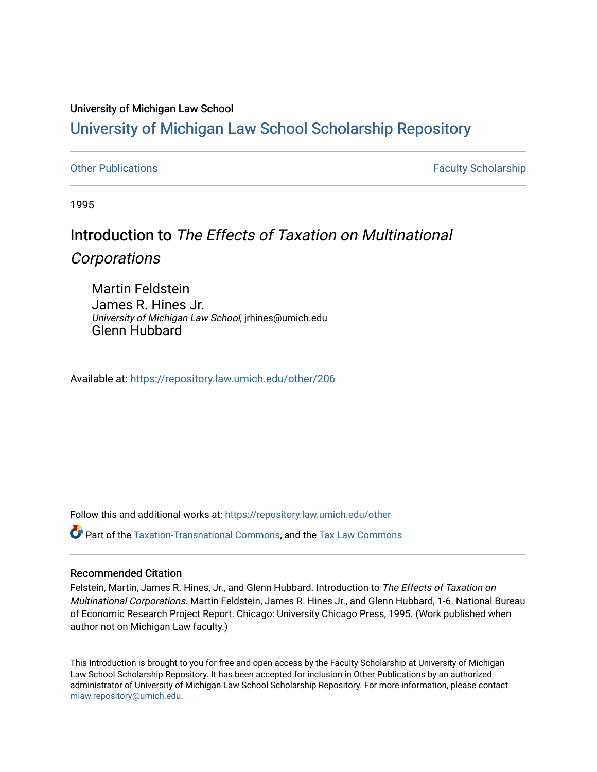### University of Michigan Law School

# [University of Michigan Law School Scholarship Repository](https://repository.law.umich.edu/)

[Other Publications](https://repository.law.umich.edu/other) **Faculty Scholarship Faculty Scholarship Faculty Scholarship** 

1995

# Introduction to The Effects of Taxation on Multinational

## **Corporations**

Martin Feldstein James R. Hines Jr. University of Michigan Law School, jrhines@umich.edu Glenn Hubbard

Available at: <https://repository.law.umich.edu/other/206>

Follow this and additional works at: [https://repository.law.umich.edu/other](https://repository.law.umich.edu/other?utm_source=repository.law.umich.edu%2Fother%2F206&utm_medium=PDF&utm_campaign=PDFCoverPages)

Part of the [Taxation-Transnational Commons](https://network.bepress.com/hgg/discipline/883?utm_source=repository.law.umich.edu%2Fother%2F206&utm_medium=PDF&utm_campaign=PDFCoverPages), and the [Tax Law Commons](https://network.bepress.com/hgg/discipline/898?utm_source=repository.law.umich.edu%2Fother%2F206&utm_medium=PDF&utm_campaign=PDFCoverPages) 

### Recommended Citation

Felstein, Martin, James R. Hines, Jr., and Glenn Hubbard. Introduction to The Effects of Taxation on Multinational Corporations. Martin Feldstein, James R. Hines Jr., and Glenn Hubbard, 1-6. National Bureau of Economic Research Project Report. Chicago: University Chicago Press, 1995. (Work published when author not on Michigan Law faculty.)

This Introduction is brought to you for free and open access by the Faculty Scholarship at University of Michigan Law School Scholarship Repository. It has been accepted for inclusion in Other Publications by an authorized administrator of University of Michigan Law School Scholarship Repository. For more information, please contact [mlaw.repository@umich.edu.](mailto:mlaw.repository@umich.edu)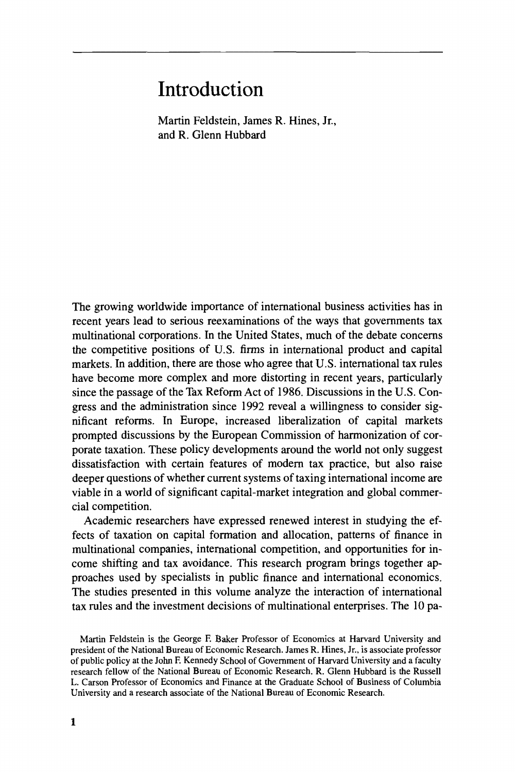# **Introduction**

Martin Feldstein, James R. Hines, Jr., and R. Glenn Hubbard

The growing worldwide importance of international business activities has in recent years lead to serious reexaminations of the ways that governments tax multinational corporations. In the United States, much of the debate concerns the competitive positions of U.S. firms in international product and capital markets. In addition, there are those who agree that U.S. international tax rules have become more complex and more distorting in recent years, particularly since the passage of the Tax Reform Act of 1986. Discussions in the U.S. Congress and the administration since 1992 reveal a willingness to consider significant reforms. In Europe, increased liberalization of capital markets prompted discussions by the European Commission of harmonization of corporate taxation. These policy developments around the world not only suggest dissatisfaction with certain features of modem tax practice, but also raise deeper questions of whether current systems of taxing international income are viable in a world of significant capital-market integration and global commercial competition.

Academic researchers have expressed renewed interest in studying the effects of taxation on capital formation and allocation, patterns of finance in multinational companies, international competition, and opportunities for income shifting and tax avoidance. This research program brings together approaches used by specialists in public finance and international economics. The studies presented in this volume analyze the interaction of international tax rules and the investment decisions of multinational enterprises. The 10 pa-

Martin Feldstein is the George F. Baker Professor of Economics at Harvard University and president of the National Bureau of Economic Research. James **R.** Hines, Jr., is associate professor of public policy at the John F. Kennedy School of Government of Harvard University and a faculty research fellow of the National Bureau of Economic Research. **R.** Glenn Hubbard is the Russell L. Carson Professor of Economics and Finance at the Graduate School of Business of Columbia University and a research associate of the National Bureau of Economic Research.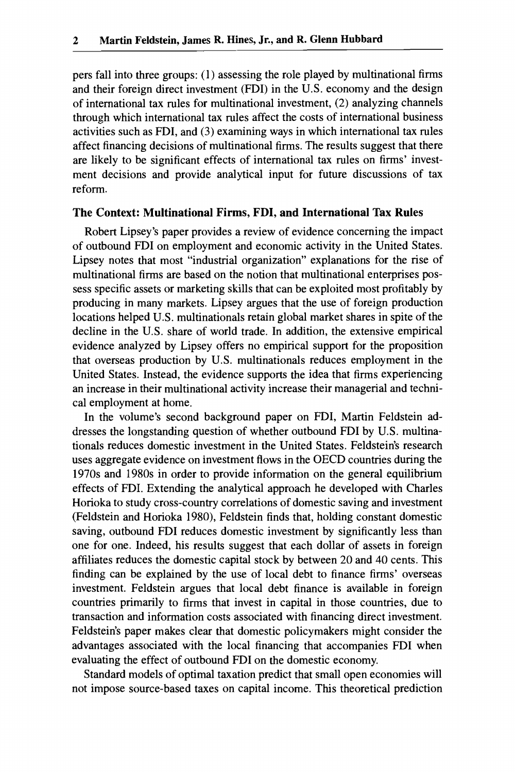pers fall into three groups: (1) assessing the role played by multinational firms and their foreign direct investment (FDI) in the U.S. economy and the design of international tax rules for multinational investment, (2) analyzing channels through which international tax rules affect the costs of international business activities such as FDI, and (3) examining ways in which international tax rules affect financing decisions of multinational firms. The results suggest that there are likely to be significant effects of international tax rules on firms' investment decisions and provide analytical input for future discussions of tax reform.

#### **The Context: Multinational Firms, FDI, and International Tax Rules**

Robert Lipsey's paper provides a review of evidence concerning the impact of outbound FDI on employment and economic activity in the United States. Lipsey notes that most "industrial organization" explanations for the rise of multinational firms are based on the notion that multinational enterprises possess specific assets or marketing skills that can be exploited most profitably by producing in many markets. Lipsey argues that the use of foreign production locations helped U.S. multinationals retain global market shares in spite of the decline in the U.S. share of world trade. In addition, the extensive empirical evidence analyzed by Lipsey offers no empirical support for the proposition that overseas production by U.S. multinationals reduces employment in the United States. Instead, the evidence supports the idea that firms experiencing an increase in their multinational activity increase their managerial and technical employment at home.

In the volume's second background paper on FDI, Martin Feldstein addresses the longstanding question of whether outbound FDI by U.S. multinationals reduces domestic investment in the United States. Feldstein's research uses aggregate evidence on investment flows in the OECD countries during the 1970s and 1980s in order to provide information on the general equilibrium effects of FDI. Extending the analytical approach he developed with Charles Horioka to study cross-country correlations of domestic saving and investment (Feldstein and Horioka 1980), Feldstein finds that, holding constant domestic saving, outbound FDI reduces domestic investment by significantly less than one for one. Indeed, his results suggest that each dollar of assets in foreign affiliates reduces the domestic capital stock by between 20 and 40 cents. This finding can be explained by the use of local debt to finance firms' overseas investment. Feldstein argues that local debt finance is available in foreign countries primarily to firms that invest in capital in those countries, due to transaction and information costs associated with financing direct investment. Feldstein's paper makes clear that domestic policymakers might consider the advantages associated with the local financing that accompanies FDI when evaluating the effect of outbound FDI on the domestic economy.

Standard models of optimal taxation predict that small open economies will not impose source-based taxes on capital income. This theoretical prediction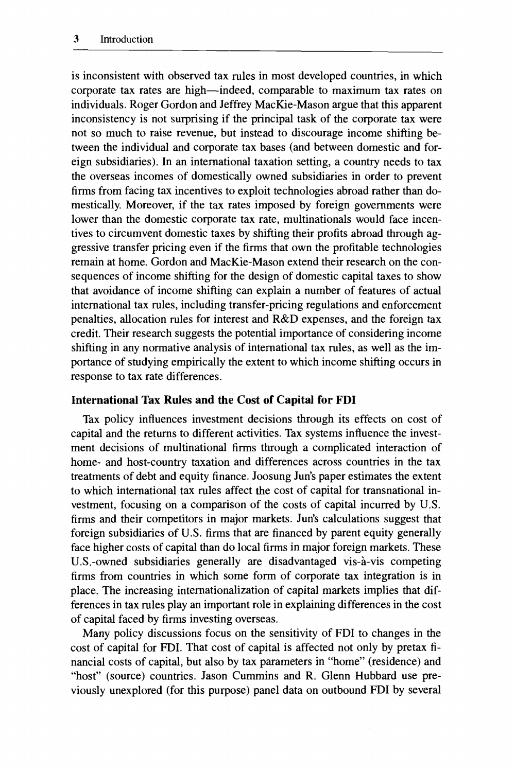is inconsistent with observed tax rules in most developed countries, in which corporate tax rates are high-indeed, comparable to maximum tax rates on individuals. Roger Gordon and Jeffrey MacKie-Mason argue that this apparent inconsistency is not surprising if the principal task of the corporate tax were not so much to raise revenue, but instead to discourage income shifting between the individual and corporate tax bases (and between domestic and foreign subsidiaries). In an international taxation setting, a country needs to tax the overseas incomes of domestically owned subsidiaries in order to prevent firms from facing tax incentives to exploit technologies abroad rather than domestically. Moreover, if the tax rates imposed by foreign governments were lower than the domestic corporate tax rate, multinationals would face incentives to circumvent domestic taxes by shifting their profits abroad through aggressive transfer pricing even if the firms that own the profitable technologies remain at home. Gordon and MacKie-Mason extend their research on the consequences of income shifting for the design of domestic capital taxes to show that avoidance of income shifting can explain a number of features of actual international tax rules, including transfer-pricing regulations and enforcement penalties, allocation rules for interest and R&D expenses, and the foreign tax credit. Their research suggests the potential importance of considering income shifting in any normative analysis of international tax rules, as well as the importance of studying empirically the extent to which income shifting occurs in response to tax rate differences.

#### **International Tax Rules and the Cost of Capital for FDI**

Tax policy influences investment decisions through its effects on cost of capital and the returns to different activities. Tax systems influence the investment decisions of multinational firms through a complicated interaction of home- and host-country taxation and differences across countries in the tax treatments of debt and equity finance. Joosung Jun's paper estimates the extent to which international tax rules affect the cost of capital for transnational investment, focusing on a comparison of the costs of capital incurred by U.S. firms and their competitors in major markets. Jun's calculations suggest that foreign subsidiaries of U.S. firms that are financed by parent equity generally face higher costs of capital than do local firms in major foreign markets. These U.S.-owned subsidiaries generally are disadvantaged vis-à-vis competing firms from countries in which some form of corporate tax integration is in place. The increasing internationalization of capital markets implies that differences in tax rules play an important role in explaining differences in the cost of capital faced by firms investing overseas.

Many policy discussions focus on the sensitivity of FDI to changes in the cost of capital for FDI. That cost of capital is affected not only by pretax financial costs of capital, but also by tax parameters in "home" (residence) and "host" (source) countries. Jason Cummins and R. Glenn Hubbard use previously unexplored (for this purpose) panel data on outbound FDI by several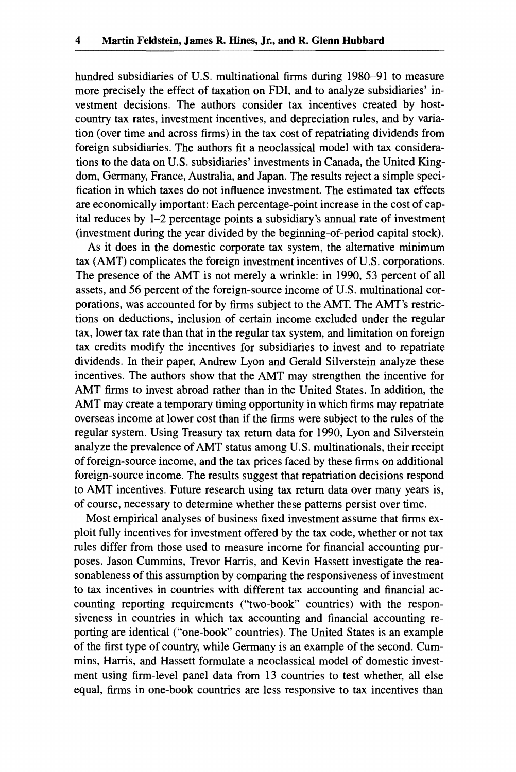hundred subsidiaries of U.S. multinational firms during 1980-91 to measure more precisely the effect of taxation on FDI, and to analyze subsidiaries' investment decisions. The authors consider tax incentives created by hostcountry tax rates, investment incentives, and depreciation rules, and by variation ( over time and across firms) in the tax cost of repatriating dividends from foreign subsidiaries. The authors fit a neoclassical model with tax considerations to the data on U.S. subsidiaries' investments in Canada, the United Kingdom, Germany, France, Australia, and Japan. The results reject a simple specification in which taxes do not influence investment. The estimated tax effects are economically important: Each percentage-point increase in the cost of capital reduces by 1-2 percentage points a subsidiary's annual rate of investment (investment during the year divided by the beginning-of-period capital stock).

As it does in the domestic corporate tax system, the alternative minimum tax (AMT) complicates the foreign investment incentives of U.S. corporations. The presence of the AMT is not merely a wrinkle: in 1990, 53 percent of all assets, and 56 percent of the foreign-source income of U.S. multinational corporations, was accounted for by firms subject to the AMT. The AMT's restrictions on deductions, inclusion of certain income excluded under the regular tax, lower tax rate than that in the regular tax system, and limitation on foreign tax credits modify the incentives for subsidiaries to invest and to repatriate dividends. In their paper, Andrew Lyon and Gerald Silverstein analyze these incentives. The authors show that the AMT may strengthen the incentive for AMT firms to invest abroad rather than in the United States. In addition, the AMT may create a temporary timing opportunity in which firms may repatriate overseas income at lower cost than if the firms were subject to the rules of the regular system. Using Treasury tax return data for 1990, Lyon and Silverstein analyze the prevalence of AMT status among U.S. multinationals, their receipt of foreign-source income, and the tax prices faced by these firms on additional foreign-source income. The results suggest that repatriation decisions respond to AMT incentives. Future research using tax return data over many years is, of course, necessary to determine whether these patterns persist over time.

Most empirical analyses of business fixed investment assume that firms exploit fully incentives for investment offered by the tax code, whether or not tax rules differ from those used to measure income for financial accounting purposes. Jason Cummins, Trevor Harris, and Kevin Hassett investigate the reasonableness of this assumption by comparing the responsiveness of investment to tax incentives in countries with different tax accounting and financial accounting reporting requirements ("two-book" countries) with the responsiveness in countries in which tax accounting and financial accounting reporting are identical ("one-book" countries). The United States is an example of the first type of country, while Germany is an example of the second. Cummins, Harris, and Hassett formulate a neoclassical model of domestic investment using firm-level panel data from 13 countries to test whether, all else equal, firms in one-book countries are less responsive to tax incentives than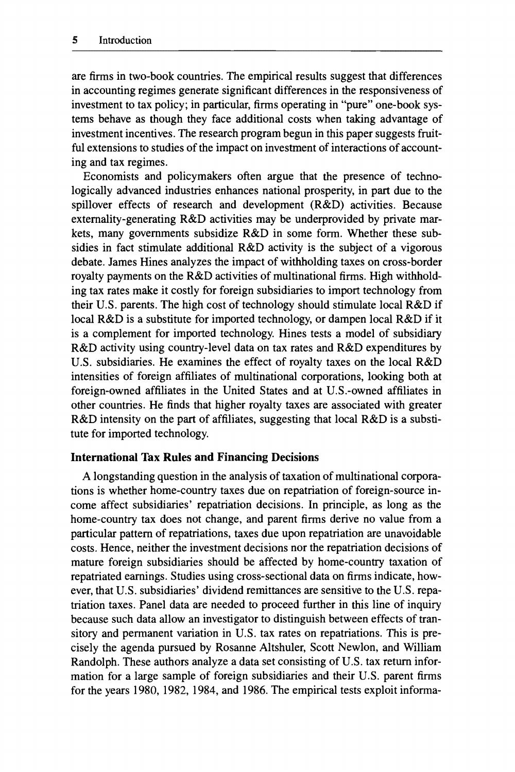are firms in two-book countries. The empirical results suggest that differences in accounting regimes generate significant differences in the responsiveness of investment to tax policy; in particular, firms operating in "pure" one-book systems behave as though they face additional costs when taking advantage of investment incentives. The research program begun in this paper suggests fruitful extensions to studies of the impact on investment of interactions of accounting and tax regimes.

Economists and policymakers often argue that the presence of technologically advanced industries enhances national prosperity, in part due to the spillover effects of research and development **(R&D)** activities. Because externality-generating **R&D** activities may be underprovided by private markets, many governments subsidize **R&D** in some form. Whether these subsidies in fact stimulate additional R&D activity is the subject of a vigorous debate. James Hines analyzes the impact of withholding taxes on cross-border royalty payments on the R&D activities of multinational firms. High withholding tax rates make it costly for foreign subsidiaries to import technology from their U.S. parents. The high cost of technology should stimulate local R&D if local R&D is a substitute for imported technology, or dampen local R&D if it is a complement for imported technology. Hines tests a model of subsidiary R&D activity using country-level data on tax rates and R&D expenditures by U.S. subsidiaries. He examines the effect of royalty taxes on the local R&D intensities of foreign affiliates of multinational corporations, looking both at foreign-owned affiliates in the United States and at U.S.-owned affiliates in other countries. He finds that higher royalty taxes are associated with greater R&D intensity on the part of affiliates, suggesting that local R&D is a substitute for imported technology.

#### **International Tax Rules and Financing Decisions**

A longstanding question in the analysis of taxation of multinational corporations is whether home-country taxes due on repatriation of foreign-source income affect subsidiaries' repatriation decisions. In principle, as long as the home-country tax does not change, and parent firms derive no value from a particular pattern of repatriations, taxes due upon repatriation are unavoidable costs. Hence, neither the investment decisions nor the repatriation decisions of mature foreign subsidiaries should be affected by home-country taxation of repatriated earnings. Studies using cross-sectional data on firms indicate, however, that U.S. subsidiaries' dividend remittances are sensitive to the U.S. repatriation taxes. Panel data are needed to proceed further in this line of inquiry because such data allow an investigator to distinguish between effects of transitory and permanent variation in U.S. tax rates on repatriations. This is precisely the agenda pursued by Rosanne Altshuler, Scott Newlon, and William Randolph. These authors analyze a data set consisting of U.S. tax return information for a large sample of foreign subsidiaries and their U.S. parent firms for the years 1980, 1982, 1984, and 1986. The empirical tests exploit informa